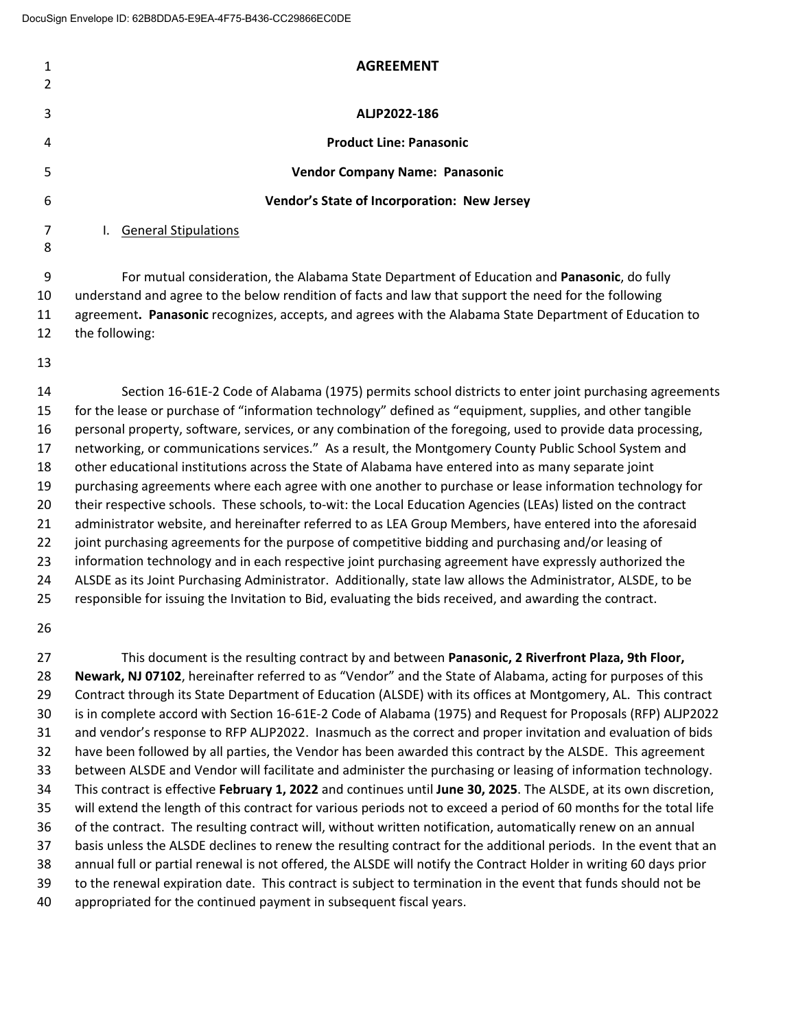|    | <b>AGREEMENT</b>                                                                                       |
|----|--------------------------------------------------------------------------------------------------------|
|    |                                                                                                        |
| 3  | ALJP2022-186                                                                                           |
| 4  | <b>Product Line: Panasonic</b>                                                                         |
| 5  | <b>Vendor Company Name: Panasonic</b>                                                                  |
| 6  | <b>Vendor's State of Incorporation: New Jersey</b>                                                     |
|    | <b>General Stipulations</b>                                                                            |
| 8  |                                                                                                        |
| 9  | For mutual consideration, the Alabama State Department of Education and Panasonic, do fully            |
| 10 | understand and agree to the below rendition of facts and law that support the need for the following   |
| 11 | agreement. Panasonic recognizes, accepts, and agrees with the Alabama State Department of Education to |

- the following:
- 

 Section 16‐61E‐2 Code of Alabama (1975) permits school districts to enter joint purchasing agreements for the lease or purchase of "information technology" defined as "equipment, supplies, and other tangible personal property, software, services, or any combination of the foregoing, used to provide data processing, networking, or communications services." As a result, the Montgomery County Public School System and other educational institutions across the State of Alabama have entered into as many separate joint purchasing agreements where each agree with one another to purchase or lease information technology for 20 their respective schools. These schools, to-wit: the Local Education Agencies (LEAs) listed on the contract administrator website, and hereinafter referred to as LEA Group Members, have entered into the aforesaid 22 joint purchasing agreements for the purpose of competitive bidding and purchasing and/or leasing of 23 information technology and in each respective joint purchasing agreement have expressly authorized the ALSDE as its Joint Purchasing Administrator. Additionally, state law allows the Administrator, ALSDE, to be responsible for issuing the Invitation to Bid, evaluating the bids received, and awarding the contract.

 This document is the resulting contract by and between **Panasonic, 2 Riverfront Plaza, 9th Floor, Newark, NJ 07102**, hereinafter referred to as "Vendor" and the State of Alabama, acting for purposes of this Contract through its State Department of Education (ALSDE) with its offices at Montgomery, AL. This contract 30 is in complete accord with Section 16-61E-2 Code of Alabama (1975) and Request for Proposals (RFP) ALJP2022 and vendor's response to RFP ALJP2022. Inasmuch as the correct and proper invitation and evaluation of bids have been followed by all parties, the Vendor has been awarded this contract by the ALSDE. This agreement between ALSDE and Vendor will facilitate and administer the purchasing or leasing of information technology. This contract is effective **February 1, 2022** and continues until **June 30, 2025**. The ALSDE, at its own discretion, will extend the length of this contract for various periods not to exceed a period of 60 months for the total life of the contract. The resulting contract will, without written notification, automatically renew on an annual basis unless the ALSDE declines to renew the resulting contract for the additional periods. In the event that an annual full or partial renewal is not offered, the ALSDE will notify the Contract Holder in writing 60 days prior to the renewal expiration date. This contract is subject to termination in the event that funds should not be appropriated for the continued payment in subsequent fiscal years.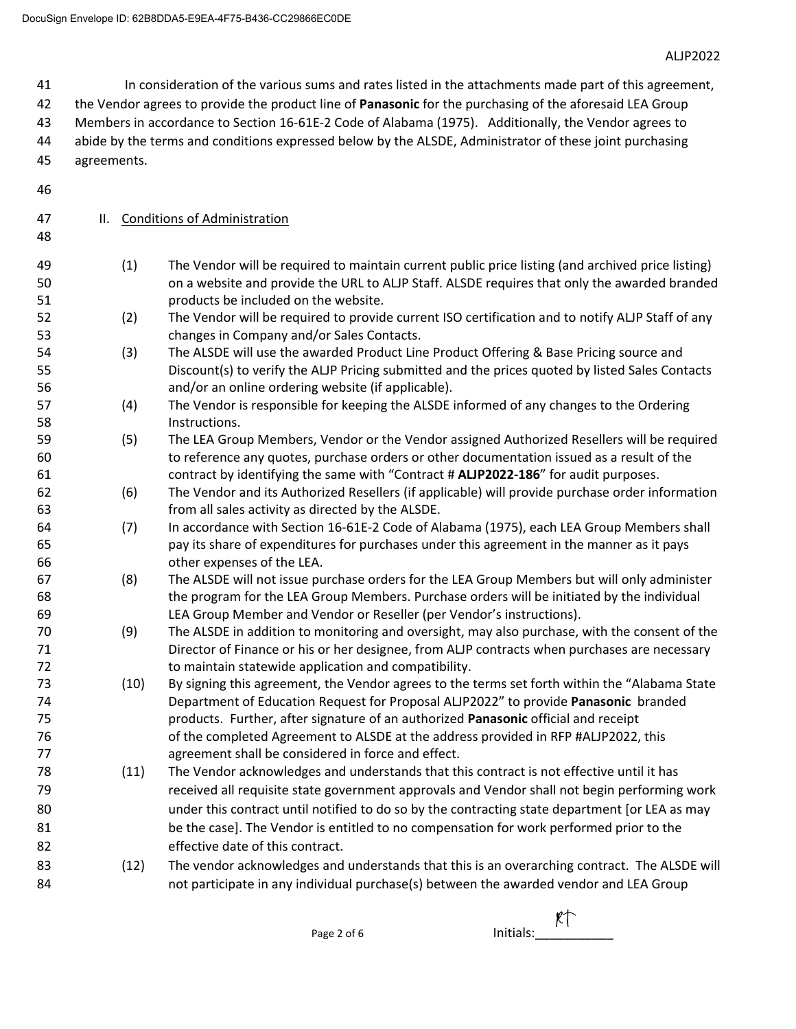In consideration of the various sums and rates listed in the attachments made part of this agreement,

the Vendor agrees to provide the product line of **Panasonic** for the purchasing of the aforesaid LEA Group

Members in accordance to Section 16‐61E‐2 Code of Alabama (1975). Additionally, the Vendor agrees to

- abide by the terms and conditions expressed below by the ALSDE, Administrator of these joint purchasing
- agreements.
- 

- II. Conditions of Administration
- (1) The Vendor will be required to maintain current public price listing (and archived price listing) on a website and provide the URL to ALJP Staff. ALSDE requires that only the awarded branded products be included on the website.
- (2) The Vendor will be required to provide current ISO certification and to notify ALJP Staff of any changes in Company and/or Sales Contacts.
- (3) The ALSDE will use the awarded Product Line Product Offering & Base Pricing source and Discount(s) to verify the ALJP Pricing submitted and the prices quoted by listed Sales Contacts and/or an online ordering website (if applicable).
- (4) The Vendor is responsible for keeping the ALSDE informed of any changes to the Ordering Instructions.
- (5) The LEA Group Members, Vendor or the Vendor assigned Authorized Resellers will be required to reference any quotes, purchase orders or other documentation issued as a result of the contract by identifying the same with "Contract # **ALJP2022‐186**" for audit purposes.
- (6) The Vendor and its Authorized Resellers (if applicable) will provide purchase order information from all sales activity as directed by the ALSDE.
- (7) In accordance with Section 16‐61E‐2 Code of Alabama (1975), each LEA Group Members shall pay its share of expenditures for purchases under this agreement in the manner as it pays other expenses of the LEA.
- (8) The ALSDE will not issue purchase orders for the LEA Group Members but will only administer 68 the program for the LEA Group Members. Purchase orders will be initiated by the individual LEA Group Member and Vendor or Reseller (per Vendor's instructions).
- (9) The ALSDE in addition to monitoring and oversight, may also purchase, with the consent of the Director of Finance or his or her designee, from ALJP contracts when purchases are necessary to maintain statewide application and compatibility.
- (10) By signing this agreement, the Vendor agrees to the terms set forth within the "Alabama State Department of Education Request for Proposal ALJP2022" to provide **Panasonic** branded products. Further, after signature of an authorized **Panasonic** official and receipt 76 of the completed Agreement to ALSDE at the address provided in RFP #ALJP2022, this agreement shall be considered in force and effect.
- (11) The Vendor acknowledges and understands that this contract is not effective until it has received all requisite state government approvals and Vendor shall not begin performing work under this contract until notified to do so by the contracting state department [or LEA as may 81 be the case]. The Vendor is entitled to no compensation for work performed prior to the effective date of this contract.
- (12) The vendor acknowledges and understands that this is an overarching contract. The ALSDE will **not participate in any individual purchase(s)** between the awarded vendor and LEA Group

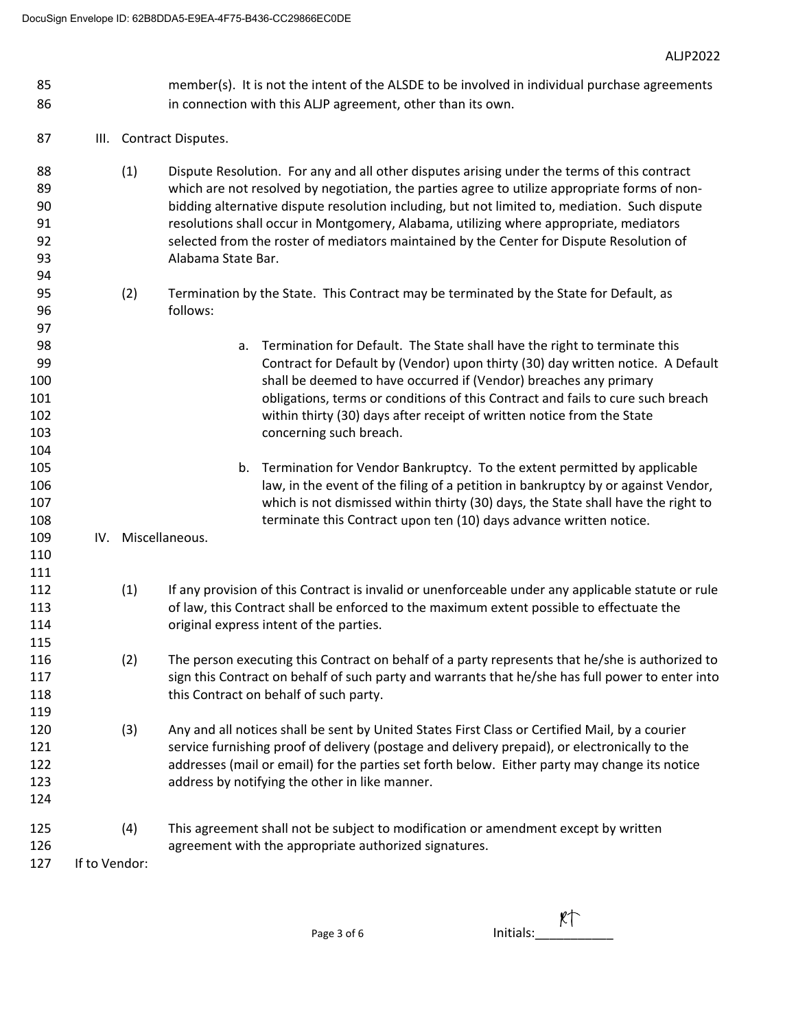- 85 member(s). It is not the intent of the ALSDE to be involved in individual purchase agreements in connection with this ALJP agreement, other than its own.
- **III.** Contract Disputes.

 

- (1) Dispute Resolution. For any and all other disputes arising under the terms of this contract 89 between the not resolved by negotiation, the parties agree to utilize appropriate forms of non- bidding alternative dispute resolution including, but not limited to, mediation. Such dispute **resolutions shall occur in Montgomery, Alabama, utilizing where appropriate, mediators**  selected from the roster of mediators maintained by the Center for Dispute Resolution of Alabama State Bar.
- (2) Termination by the State. This Contract may be terminated by the State for Default, as follows:
- a. Termination for Default. The State shall have the right to terminate this Contract for Default by (Vendor) upon thirty (30) day written notice. A Default shall be deemed to have occurred if (Vendor) breaches any primary obligations, terms or conditions of this Contract and fails to cure such breach within thirty (30) days after receipt of written notice from the State concerning such breach.
- b. Termination for Vendor Bankruptcy. To the extent permitted by applicable law, in the event of the filing of a petition in bankruptcy by or against Vendor, which is not dismissed within thirty (30) days, the State shall have the right to terminate this Contract upon ten (10) days advance written notice.

IV. Miscellaneous.

- (1) If any provision of this Contract is invalid or unenforceable under any applicable statute or rule of law, this Contract shall be enforced to the maximum extent possible to effectuate the original express intent of the parties.
- (2) The person executing this Contract on behalf of a party represents that he/she is authorized to 117 sign this Contract on behalf of such party and warrants that he/she has full power to enter into 118 this Contract on behalf of such party.
- (3) Any and all notices shall be sent by United States First Class or Certified Mail, by a courier service furnishing proof of delivery (postage and delivery prepaid), or electronically to the addresses (mail or email) for the parties set forth below. Either party may change its notice address by notifying the other in like manner.
- (4) This agreement shall not be subject to modification or amendment except by written agreement with the appropriate authorized signatures.

If to Vendor:

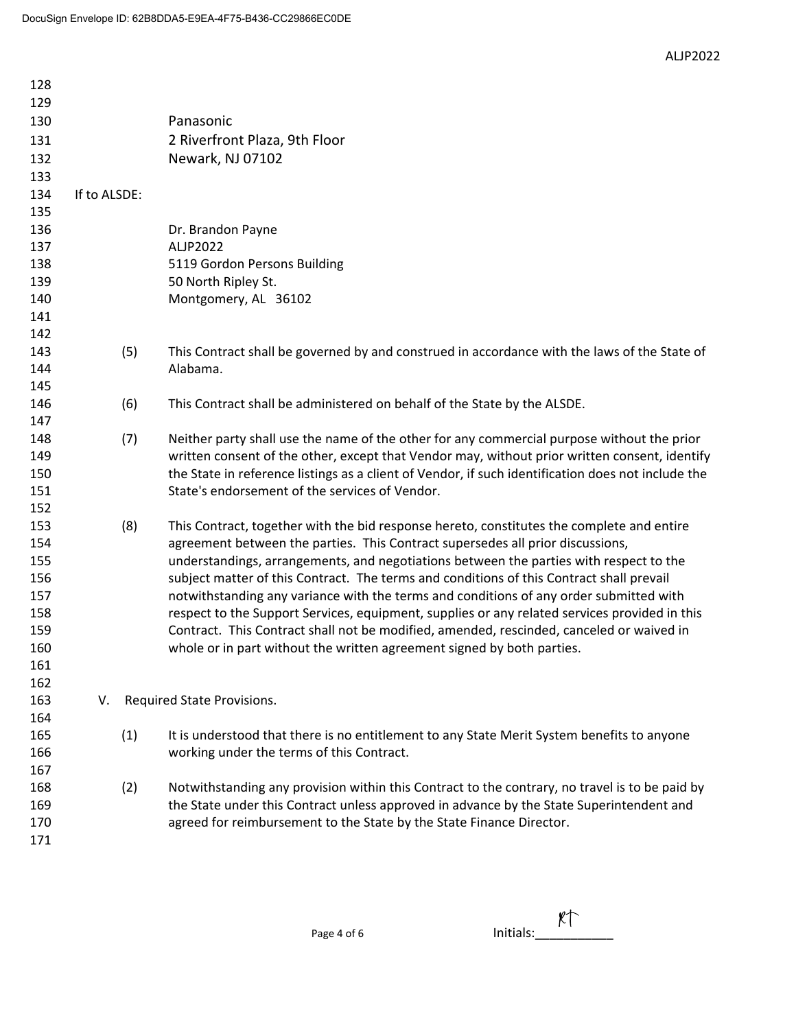ALJP2022

| 128        |              |                                                                                                                                                                                    |
|------------|--------------|------------------------------------------------------------------------------------------------------------------------------------------------------------------------------------|
| 129        |              |                                                                                                                                                                                    |
| 130        |              | Panasonic                                                                                                                                                                          |
| 131        |              | 2 Riverfront Plaza, 9th Floor                                                                                                                                                      |
| 132        |              | Newark, NJ 07102                                                                                                                                                                   |
| 133        |              |                                                                                                                                                                                    |
| 134        | If to ALSDE: |                                                                                                                                                                                    |
| 135        |              |                                                                                                                                                                                    |
| 136        |              | Dr. Brandon Payne                                                                                                                                                                  |
| 137        |              | ALJP2022                                                                                                                                                                           |
| 138        |              | 5119 Gordon Persons Building                                                                                                                                                       |
| 139        |              | 50 North Ripley St.                                                                                                                                                                |
| 140        |              | Montgomery, AL 36102                                                                                                                                                               |
| 141        |              |                                                                                                                                                                                    |
| 142        |              |                                                                                                                                                                                    |
| 143        | (5)          | This Contract shall be governed by and construed in accordance with the laws of the State of                                                                                       |
| 144        |              | Alabama.                                                                                                                                                                           |
| 145        |              |                                                                                                                                                                                    |
| 146        | (6)          | This Contract shall be administered on behalf of the State by the ALSDE.                                                                                                           |
| 147        |              |                                                                                                                                                                                    |
| 148        | (7)          | Neither party shall use the name of the other for any commercial purpose without the prior                                                                                         |
| 149        |              | written consent of the other, except that Vendor may, without prior written consent, identify                                                                                      |
| 150        |              | the State in reference listings as a client of Vendor, if such identification does not include the                                                                                 |
| 151        |              | State's endorsement of the services of Vendor.                                                                                                                                     |
| 152        |              |                                                                                                                                                                                    |
| 153        | (8)          | This Contract, together with the bid response hereto, constitutes the complete and entire                                                                                          |
| 154        |              | agreement between the parties. This Contract supersedes all prior discussions,                                                                                                     |
| 155<br>156 |              | understandings, arrangements, and negotiations between the parties with respect to the<br>subject matter of this Contract. The terms and conditions of this Contract shall prevail |
| 157        |              | notwithstanding any variance with the terms and conditions of any order submitted with                                                                                             |
| 158        |              | respect to the Support Services, equipment, supplies or any related services provided in this                                                                                      |
| 159        |              | Contract. This Contract shall not be modified, amended, rescinded, canceled or waived in                                                                                           |
| 160        |              | whole or in part without the written agreement signed by both parties.                                                                                                             |
| 161        |              |                                                                                                                                                                                    |
| 162        |              |                                                                                                                                                                                    |
| 163        | V.           | Required State Provisions.                                                                                                                                                         |
| 164        |              |                                                                                                                                                                                    |
| 165        | (1)          | It is understood that there is no entitlement to any State Merit System benefits to anyone                                                                                         |
| 166        |              | working under the terms of this Contract.                                                                                                                                          |
| 167        |              |                                                                                                                                                                                    |
| 168        | (2)          | Notwithstanding any provision within this Contract to the contrary, no travel is to be paid by                                                                                     |
| 169        |              | the State under this Contract unless approved in advance by the State Superintendent and                                                                                           |
| 170        |              | agreed for reimbursement to the State by the State Finance Director.                                                                                                               |
| 171        |              |                                                                                                                                                                                    |
|            |              |                                                                                                                                                                                    |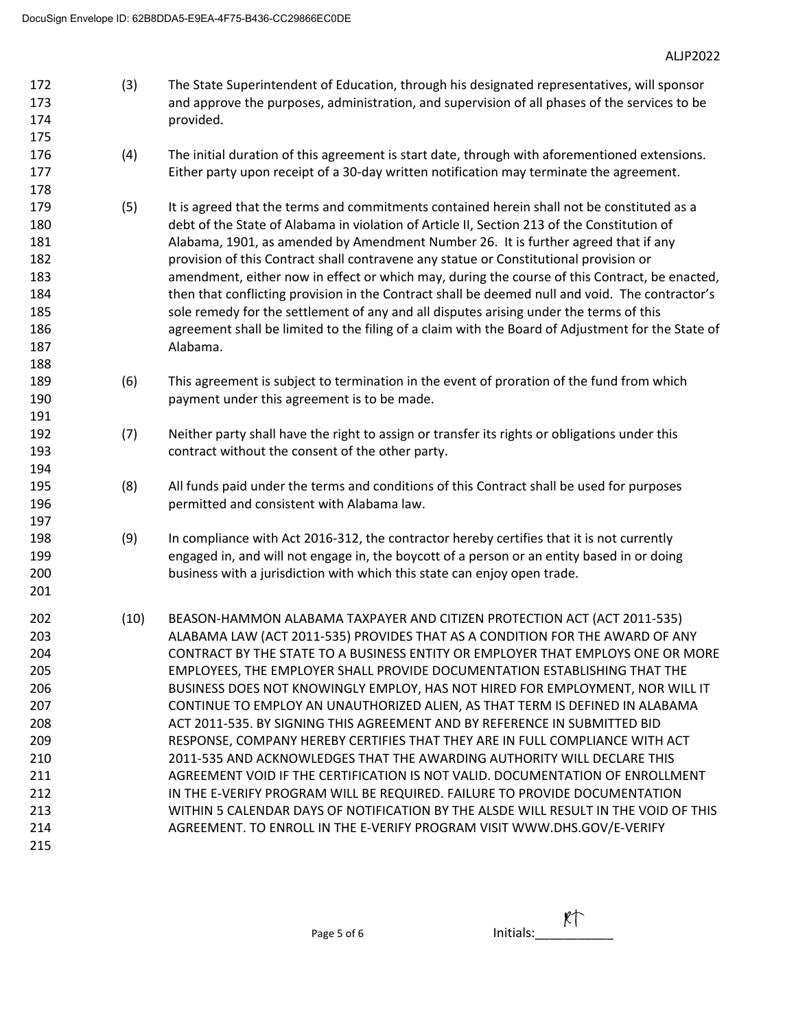- (3) The State Superintendent of Education, through his designated representatives, will sponsor and approve the purposes, administration, and supervision of all phases of the services to be provided.
- (4) The initial duration of this agreement is start date, through with aforementioned extensions. 177 Either party upon receipt of a 30-day written notification may terminate the agreement.
- (5) It is agreed that the terms and commitments contained herein shall not be constituted as a debt of the State of Alabama in violation of Article II, Section 213 of the Constitution of Alabama, 1901, as amended by Amendment Number 26. It is further agreed that if any provision of this Contract shall contravene any statue or Constitutional provision or amendment, either now in effect or which may, during the course of this Contract, be enacted, then that conflicting provision in the Contract shall be deemed null and void. The contractor's sole remedy for the settlement of any and all disputes arising under the terms of this agreement shall be limited to the filing of a claim with the Board of Adjustment for the State of Alabama.
- (6) This agreement is subject to termination in the event of proration of the fund from which payment under this agreement is to be made.
- (7) Neither party shall have the right to assign or transfer its rights or obligations under this contract without the consent of the other party.
- (8) All funds paid under the terms and conditions of this Contract shall be used for purposes permitted and consistent with Alabama law.
- (9) In compliance with Act 2016‐312, the contractor hereby certifies that it is not currently engaged in, and will not engage in, the boycott of a person or an entity based in or doing business with a jurisdiction with which this state can enjoy open trade.
- (10) BEASON‐HAMMON ALABAMA TAXPAYER AND CITIZEN PROTECTION ACT (ACT 2011‐535) ALABAMA LAW (ACT 2011‐535) PROVIDES THAT AS A CONDITION FOR THE AWARD OF ANY CONTRACT BY THE STATE TO A BUSINESS ENTITY OR EMPLOYER THAT EMPLOYS ONE OR MORE EMPLOYEES, THE EMPLOYER SHALL PROVIDE DOCUMENTATION ESTABLISHING THAT THE BUSINESS DOES NOT KNOWINGLY EMPLOY, HAS NOT HIRED FOR EMPLOYMENT, NOR WILL IT CONTINUE TO EMPLOY AN UNAUTHORIZED ALIEN, AS THAT TERM IS DEFINED IN ALABAMA ACT 2011‐535. BY SIGNING THIS AGREEMENT AND BY REFERENCE IN SUBMITTED BID RESPONSE, COMPANY HEREBY CERTIFIES THAT THEY ARE IN FULL COMPLIANCE WITH ACT 2011‐535 AND ACKNOWLEDGES THAT THE AWARDING AUTHORITY WILL DECLARE THIS AGREEMENT VOID IF THE CERTIFICATION IS NOT VALID. DOCUMENTATION OF ENROLLMENT 212 IN THE E-VERIFY PROGRAM WILL BE REQUIRED. FAILURE TO PROVIDE DOCUMENTATION WITHIN 5 CALENDAR DAYS OF NOTIFICATION BY THE ALSDE WILL RESULT IN THE VOID OF THIS **AGREEMENT. TO ENROLL IN THE E-VERIFY PROGRAM VISIT WWW.DHS.GOV/E-VERIFY**